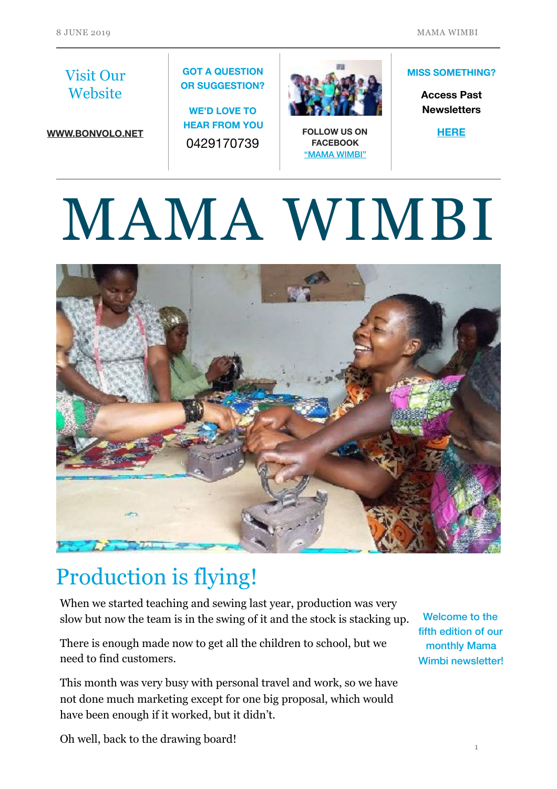#### Visit Our **Website**

**[WWW.BONVOLO.NET](http://www.bonvolo.net)**

#### **GOT A QUESTION OR SUGGESTION?**

**WE'D LOVE TO HEAR FROM YOU**  0429170739



**FOLLOW US ON FACEBOOK**  ["MAMA WIMBI"](https://www.facebook.com/Mama-Wimbi-305021906823329)

#### **MISS SOMETHING?**

**Access Past Newsletters** 

**[HERE](https://www.bonvolo.net/newsletters)**

# MAMA WIMBI



# Production is flying!

When we started teaching and sewing last year, production was very slow but now the team is in the swing of it and the stock is stacking up.

There is enough made now to get all the children to school, but we need to find customers.

This month was very busy with personal travel and work, so we have not done much marketing except for one big proposal, which would have been enough if it worked, but it didn't.

Welcome to the fifth edition of our monthly Mama Wimbi newsletter!

Oh well, back to the drawing board!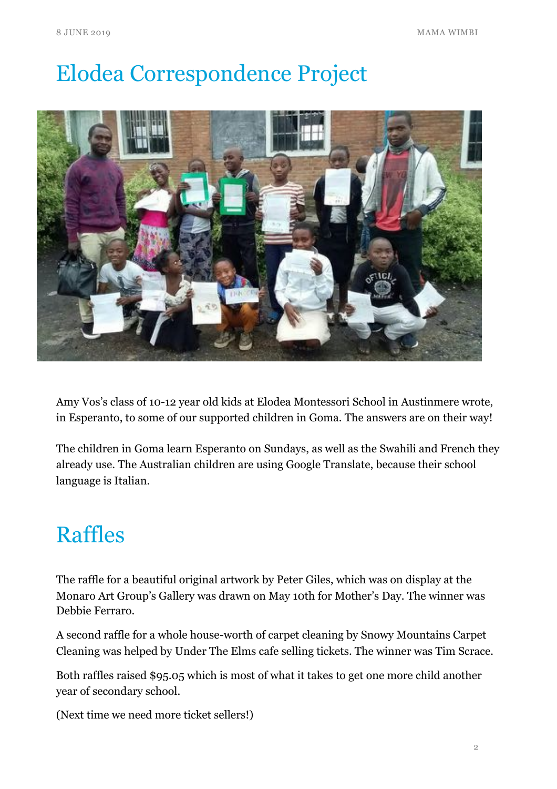# Elodea Correspondence Project



Amy Vos's class of 10-12 year old kids at Elodea Montessori School in Austinmere wrote, in Esperanto, to some of our supported children in Goma. The answers are on their way!

The children in Goma learn Esperanto on Sundays, as well as the Swahili and French they already use. The Australian children are using Google Translate, because their school language is Italian.

#### Raffles

The raffle for a beautiful original artwork by Peter Giles, which was on display at the Monaro Art Group's Gallery was drawn on May 10th for Mother's Day. The winner was Debbie Ferraro.

A second raffle for a whole house-worth of carpet cleaning by Snowy Mountains Carpet Cleaning was helped by Under The Elms cafe selling tickets. The winner was Tim Scrace.

Both raffles raised \$95.05 which is most of what it takes to get one more child another year of secondary school.

(Next time we need more ticket sellers!)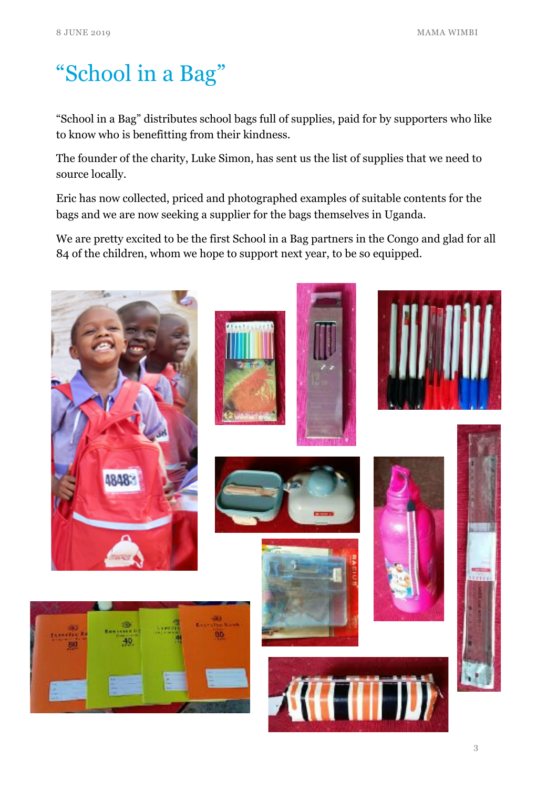## "School in a Bag"

"School in a Bag" distributes school bags full of supplies, paid for by supporters who like to know who is benefitting from their kindness.

The founder of the charity, Luke Simon, has sent us the list of supplies that we need to source locally.

Eric has now collected, priced and photographed examples of suitable contents for the bags and we are now seeking a supplier for the bags themselves in Uganda.

We are pretty excited to be the first School in a Bag partners in the Congo and glad for all 84 of the children, whom we hope to support next year, to be so equipped.